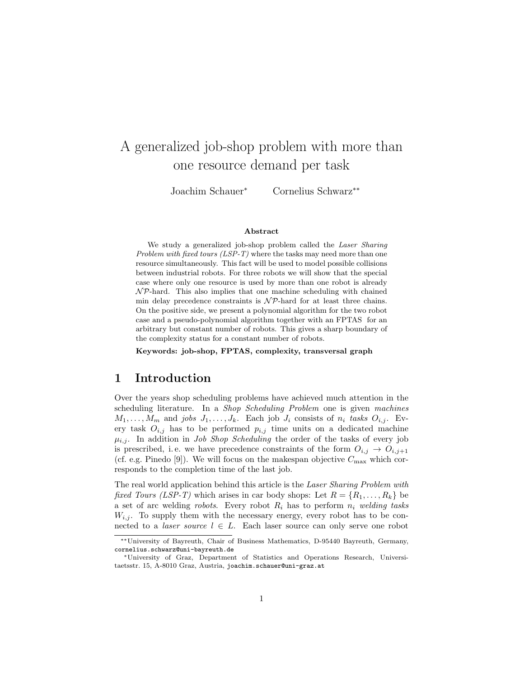# A generalized job-shop problem with more than one resource demand per task

Joachim Schauer<sup>∗</sup> Cornelius Schwarz∗∗

#### Abstract

We study a generalized job-shop problem called the Laser Sharing Problem with fixed tours (LSP-T) where the tasks may need more than one resource simultaneously. This fact will be used to model possible collisions between industrial robots. For three robots we will show that the special case where only one resource is used by more than one robot is already  $\mathcal{NP}$ -hard. This also implies that one machine scheduling with chained min delay precedence constraints is  $N \mathcal{P}$ -hard for at least three chains. On the positive side, we present a polynomial algorithm for the two robot case and a pseudo-polynomial algorithm together with an FPTAS for an arbitrary but constant number of robots. This gives a sharp boundary of the complexity status for a constant number of robots.

Keywords: job-shop, FPTAS, complexity, transversal graph

### 1 Introduction

Over the years shop scheduling problems have achieved much attention in the scheduling literature. In a Shop Scheduling Problem one is given machines  $M_1, \ldots, M_m$  and jobs  $J_1, \ldots, J_k$ . Each job  $J_i$  consists of  $n_i$  tasks  $O_{i,j}$ . Every task  $O_{i,j}$  has to be performed  $p_{i,j}$  time units on a dedicated machine  $\mu_{i,j}$ . In addition in *Job Shop Scheduling* the order of the tasks of every job is prescribed, i.e. we have precedence constraints of the form  $O_{i,j} \rightarrow O_{i,j+1}$ (cf. e.g. Pinedo [9]). We will focus on the makespan objective  $C_{\text{max}}$  which corresponds to the completion time of the last job.

The real world application behind this article is the Laser Sharing Problem with fixed Tours (LSP-T) which arises in car body shops: Let  $R = \{R_1, \ldots, R_k\}$  be a set of arc welding robots. Every robot  $R_i$  has to perform  $n_i$  welding tasks  $W_{i,j}$ . To supply them with the necessary energy, every robot has to be connected to a *laser source*  $l \in L$ . Each laser source can only serve one robot

<sup>∗∗</sup>University of Bayreuth, Chair of Business Mathematics, D-95440 Bayreuth, Germany, cornelius.schwarz@uni-bayreuth.de

<sup>∗</sup>University of Graz, Department of Statistics and Operations Research, Universitaetsstr. 15, A-8010 Graz, Austria, joachim.schauer@uni-graz.at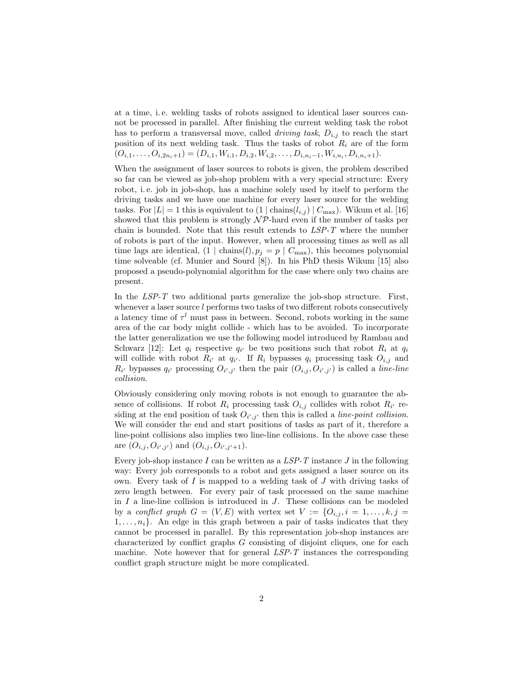at a time, i. e. welding tasks of robots assigned to identical laser sources cannot be processed in parallel. After finishing the current welding task the robot has to perform a transversal move, called *driving task*,  $D_{i,j}$  to reach the start position of its next welding task. Thus the tasks of robot  $R_i$  are of the form  $(O_{i,1}, \ldots, O_{i,2n_i+1}) = (D_{i,1}, W_{i,1}, D_{i,2}, W_{i,2}, \ldots, D_{i,n_i-1}, W_{i,n_i}, D_{i,n_i+1}).$ 

When the assignment of laser sources to robots is given, the problem described so far can be viewed as job-shop problem with a very special structure: Every robot, i. e. job in job-shop, has a machine solely used by itself to perform the driving tasks and we have one machine for every laser source for the welding tasks. For  $|L| = 1$  this is equivalent to  $(1 | \text{ chains}(l_{i,j}) | C_{\text{max}})$ . Wikum et al. [16] showed that this problem is strongly  $N \mathcal{P}$ -hard even if the number of tasks per chain is bounded. Note that this result extends to  $LSP-T$  where the number of robots is part of the input. However, when all processing times as well as all time lags are identical,  $(1 | \text{chains}(l), p_j = p | C_{\text{max}})$ , this becomes polynomial time solveable (cf. Munier and Sourd [8]). In his PhD thesis Wikum [15] also proposed a pseudo-polynomial algorithm for the case where only two chains are present.

In the  $LSP-T$  two additional parts generalize the job-shop structure. First, whenever a laser source l performs two tasks of two different robots consecutively a latency time of  $\tau^l$  must pass in between. Second, robots working in the same area of the car body might collide - which has to be avoided. To incorporate the latter generalization we use the following model introduced by Rambau and Schwarz [12]: Let  $q_i$  respective  $q_{i'}$  be two positions such that robot  $R_i$  at  $q_i$ will collide with robot  $R_{i'}$  at  $q_{i'}$ . If  $R_i$  bypasses  $q_i$  processing task  $O_{i,j}$  and  $R_{i'}$  bypasses  $q_{i'}$  processing  $O_{i',j'}$  then the pair  $(O_{i,j}, O_{i',j'})$  is called a *line-line* collision.

Obviously considering only moving robots is not enough to guarantee the absence of collisions. If robot  $R_i$  processing task  $O_{i,j}$  collides with robot  $R_{i'}$  residing at the end position of task  $O_{i',j'}$  then this is called a *line-point collision*. We will consider the end and start positions of tasks as part of it, therefore a line-point collisions also implies two line-line collisions. In the above case these are  $(O_{i,j}, O_{i',j'})$  and  $(O_{i,j}, O_{i',j'+1}).$ 

Every job-shop instance I can be written as a  $LSP-T$  instance J in the following way: Every job corresponds to a robot and gets assigned a laser source on its own. Every task of  $I$  is mapped to a welding task of  $J$  with driving tasks of zero length between. For every pair of task processed on the same machine in  $I$  a line-line collision is introduced in  $J$ . These collisions can be modeled by a conflict graph  $G = (V, E)$  with vertex set  $V := \{O_{i,j}, i = 1, \ldots, k, j = 1\}$  $1, \ldots, n_i$ . An edge in this graph between a pair of tasks indicates that they cannot be processed in parallel. By this representation job-shop instances are characterized by conflict graphs G consisting of disjoint cliques, one for each machine. Note however that for general LSP-T instances the corresponding conflict graph structure might be more complicated.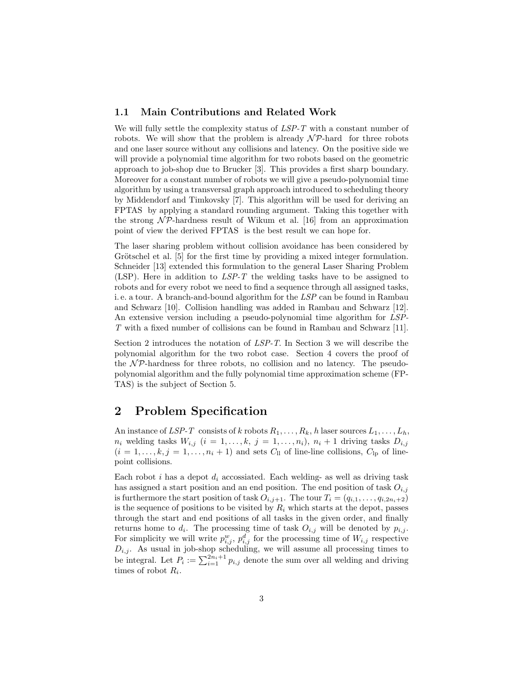### 1.1 Main Contributions and Related Work

We will fully settle the complexity status of  $LSP-T$  with a constant number of robots. We will show that the problem is already  $\mathcal{NP}$ -hard for three robots and one laser source without any collisions and latency. On the positive side we will provide a polynomial time algorithm for two robots based on the geometric approach to job-shop due to Brucker [3]. This provides a first sharp boundary. Moreover for a constant number of robots we will give a pseudo-polynomial time algorithm by using a transversal graph approach introduced to scheduling theory by Middendorf and Timkovsky [7]. This algorithm will be used for deriving an FPTAS by applying a standard rounding argument. Taking this together with the strong  $\mathcal{NP}$ -hardness result of Wikum et al. [16] from an approximation point of view the derived FPTAS is the best result we can hope for.

The laser sharing problem without collision avoidance has been considered by Grötschel et al. [5] for the first time by providing a mixed integer formulation. Schneider [13] extended this formulation to the general Laser Sharing Problem (LSP). Here in addition to  $LSP-T$  the welding tasks have to be assigned to robots and for every robot we need to find a sequence through all assigned tasks, i. e. a tour. A branch-and-bound algorithm for the LSP can be found in Rambau and Schwarz [10]. Collision handling was added in Rambau and Schwarz [12]. An extensive version including a pseudo-polynomial time algorithm for LSP-T with a fixed number of collisions can be found in Rambau and Schwarz [11].

Section 2 introduces the notation of LSP-T. In Section 3 we will describe the polynomial algorithm for the two robot case. Section 4 covers the proof of the  $\mathcal{NP}$ -hardness for three robots, no collision and no latency. The pseudopolynomial algorithm and the fully polynomial time approximation scheme (FP-TAS) is the subject of Section 5.

### 2 Problem Specification

An instance of LSP-T consists of k robots  $R_1, \ldots, R_k$ , h laser sources  $L_1, \ldots, L_h$ ,  $n_i$  welding tasks  $W_{i,j}$   $(i = 1, \ldots, k, j = 1, \ldots, n_i), n_i + 1$  driving tasks  $D_{i,j}$  $(i = 1, \ldots, k, j = 1, \ldots, n_i + 1)$  and sets  $C_{ll}$  of line-line collisions,  $C_{lp}$  of linepoint collisions.

Each robot i has a depot  $d_i$  accossiated. Each welding- as well as driving task has assigned a start position and an end position. The end position of task  $O_{i,j}$ is furthermore the start position of task  $O_{i,j+1}$ . The tour  $T_i = (q_{i,1}, \ldots, q_{i,2n_i+2})$ is the sequence of positions to be visited by  $R_i$  which starts at the depot, passes through the start and end positions of all tasks in the given order, and finally returns home to  $d_i$ . The processing time of task  $O_{i,j}$  will be denoted by  $p_{i,j}$ . For simplicity we will write  $p_{i,j}^w$ ,  $p_{i,j}^d$  for the processing time of  $W_{i,j}$  respective  $D_{i,j}$ . As usual in job-shop scheduling, we will assume all processing times to be integral. Let  $P_i := \sum_{i=1}^{2n_i+1} p_{i,j}$  denote the sum over all welding and driving times of robot  $R_i$ .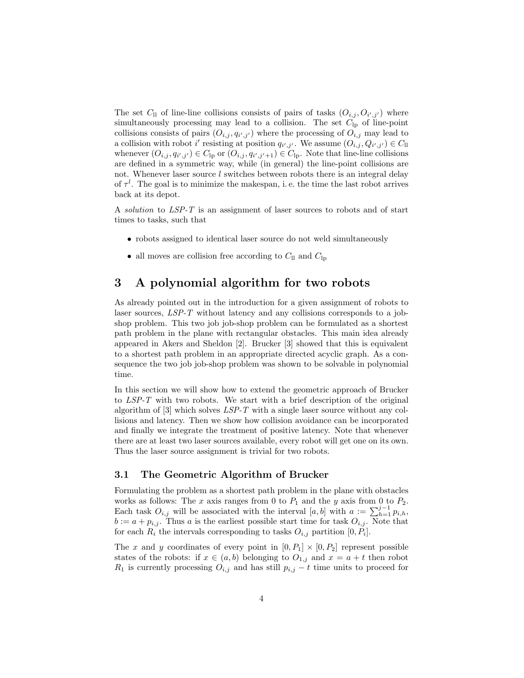The set  $C_{ll}$  of line-line collisions consists of pairs of tasks  $(O_{i,j}, O_{i',j'})$  where simultaneously processing may lead to a collision. The set  $C_{\text{lp}}$  of line-point collisions consists of pairs  $(O_{i,j}, q_{i',j'})$  where the processing of  $O_{i,j}$  may lead to a collision with robot  $i'$  resisting at position  $q_{i',j'}$ . We assume  $(O_{i,j}, Q_{i',j'}) \in C_{\text{ll}}$ whenever  $(O_{i,j}, q_{i',j'}) \in C_{\text{lp}}$  or  $(O_{i,j}, q_{i',j'+1}) \in C_{\text{lp}}$ . Note that line-line collisions are defined in a symmetric way, while (in general) the line-point collisions are not. Whenever laser source  $l$  switches between robots there is an integral delay of  $\tau^l$ . The goal is to minimize the makespan, i.e. the time the last robot arrives back at its depot.

A solution to LSP-T is an assignment of laser sources to robots and of start times to tasks, such that

- robots assigned to identical laser source do not weld simultaneously
- all moves are collision free according to  $C_{ll}$  and  $C_{lp}$

### 3 A polynomial algorithm for two robots

As already pointed out in the introduction for a given assignment of robots to laser sources, LSP-T without latency and any collisions corresponds to a jobshop problem. This two job job-shop problem can be formulated as a shortest path problem in the plane with rectangular obstacles. This main idea already appeared in Akers and Sheldon [2]. Brucker [3] showed that this is equivalent to a shortest path problem in an appropriate directed acyclic graph. As a consequence the two job job-shop problem was shown to be solvable in polynomial time.

In this section we will show how to extend the geometric approach of Brucker to LSP-T with two robots. We start with a brief description of the original algorithm of [3] which solves LSP-T with a single laser source without any collisions and latency. Then we show how collision avoidance can be incorporated and finally we integrate the treatment of positive latency. Note that whenever there are at least two laser sources available, every robot will get one on its own. Thus the laser source assignment is trivial for two robots.

### 3.1 The Geometric Algorithm of Brucker

Formulating the problem as a shortest path problem in the plane with obstacles works as follows: The x axis ranges from 0 to  $P_1$  and the y axis from 0 to  $P_2$ . Each task  $O_{i,j}$  will be associated with the interval  $[a,b]$  with  $a := \sum_{h=1}^{j-1} p_{i,h}$ ,  $b := a + p_{i,j}$ . Thus a is the earliest possible start time for task  $O_{i,j}$ . Note that for each  $R_i$  the intervals corresponding to tasks  $O_{i,j}$  partition  $[0, P_i]$ .

The x and y coordinates of every point in  $[0, P_1] \times [0, P_2]$  represent possible states of the robots: if  $x \in (a, b)$  belonging to  $O_{1,j}$  and  $x = a + t$  then robot  $R_1$  is currently processing  $O_{i,j}$  and has still  $p_{i,j} - t$  time units to proceed for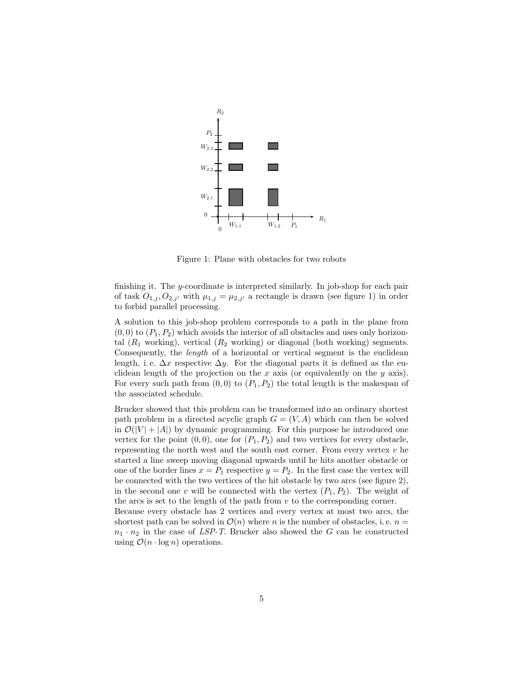

Figure 1: Plane with obstacles for two robots

finishing it. The y-coordinate is interpreted similarly. In job-shop for each pair of task  $O_{1,j}, O_{2,j'}$  with  $\mu_{1,j} = \mu_{2,j'}$  a rectangle is drawn (see figure 1) in order to forbid parallel processing.

A solution to this job-shop problem corresponds to a path in the plane from  $(0, 0)$  to  $(P_1, P_2)$  which avoids the interior of all obstacles and uses only horizontal  $(R_1$  working), vertical  $(R_2$  working) or diagonal (both working) segments. Consequently, the length of a horizontal or vertical segment is the euclidean length, i.e.  $\Delta x$  respective  $\Delta y$ . For the diagonal parts it is defined as the euclidean length of the projection on the  $x$  axis (or equivalently on the  $y$  axis). For every such path from  $(0, 0)$  to  $(P_1, P_2)$  the total length is the makespan of the associated schedule.

Brucker showed that this problem can be transformed into an ordinary shortest path problem in a directed acyclic graph  $G = (V, A)$  which can then be solved in  $\mathcal{O}(|V| + |A|)$  by dynamic programming. For this purpose he introduced one vertex for the point  $(0, 0)$ , one for  $(P_1, P_2)$  and two vertices for every obstacle, representing the north west and the south east corner. From every vertex  $v$  he started a line sweep moving diagonal upwards until he hits another obstacle or one of the border lines  $x = P_1$  respective  $y = P_2$ . In the first case the vertex will be connected with the two vertices of the hit obstacle by two arcs (see figure 2), in the second one v will be connected with the vertex  $(P_1, P_2)$ . The weight of the arcs is set to the length of the path from  $v$  to the corresponding corner. Because every obstacle has 2 vertices and every vertex at most two arcs, the

shortest path can be solved in  $\mathcal{O}(n)$  where n is the number of obstacles, i.e.  $n =$  $n_1 \cdot n_2$  in the case of LSP-T. Brucker also showed the G can be constructed using  $\mathcal{O}(n \cdot \log n)$  operations.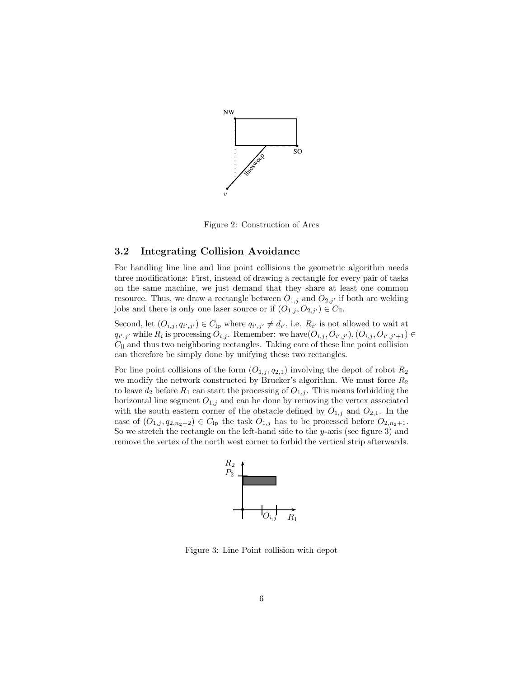

Figure 2: Construction of Arcs

#### 3.2 Integrating Collision Avoidance

For handling line line and line point collisions the geometric algorithm needs three modifications: First, instead of drawing a rectangle for every pair of tasks on the same machine, we just demand that they share at least one common resource. Thus, we draw a rectangle between  $O_{1,j}$  and  $O_{2,j'}$  if both are welding jobs and there is only one laser source or if  $(O_{1,j}, O_{2,j'}) \in C_{ll}$ .

Second, let  $(O_{i,j}, q_{i',j'}) \in C_{\text{lp}}$  where  $q_{i',j'} \neq d_{i'}$ , i.e.  $R_{i'}$  is not allowed to wait at  $q_{i',j'}$  while  $R_i$  is processing  $O_{i,j}$ . Remember: we have  $(O_{i,j}, O_{i',j'}), (O_{i,j}, O_{i',j'+1}) \in$  $C<sub>ll</sub>$  and thus two neighboring rectangles. Taking care of these line point collision can therefore be simply done by unifying these two rectangles.

For line point collisions of the form  $(O_{1,j}, q_{2,1})$  involving the depot of robot  $R_2$ we modify the network constructed by Brucker's algorithm. We must force  $R_2$ to leave  $d_2$  before  $R_1$  can start the processing of  $O_{1,j}$ . This means forbidding the horizontal line segment  $O_{1,j}$  and can be done by removing the vertex associated with the south eastern corner of the obstacle defined by  $O_{1,j}$  and  $O_{2,1}$ . In the case of  $(O_{1,j}, q_{2,n_2+2}) \in C_{\text{lp}}$  the task  $O_{1,j}$  has to be processed before  $O_{2,n_2+1}$ . So we stretch the rectangle on the left-hand side to the y-axis (see figure 3) and remove the vertex of the north west corner to forbid the vertical strip afterwards.



Figure 3: Line Point collision with depot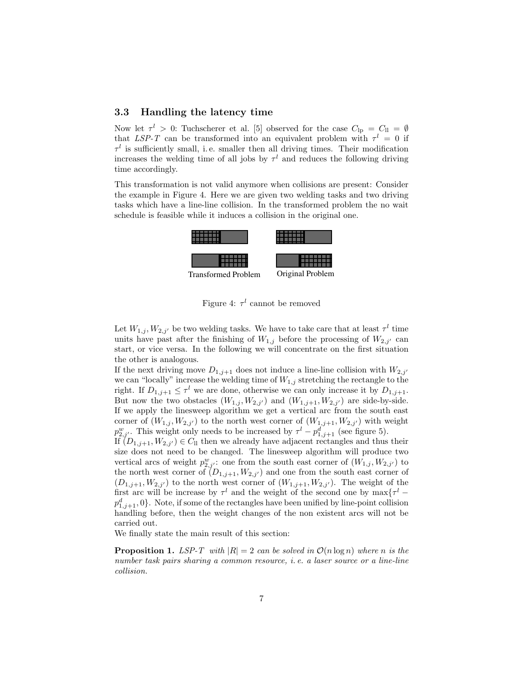#### 3.3 Handling the latency time

Now let  $\tau^l > 0$ : Tuchscherer et al. [5] observed for the case  $C_{lp} = C_{ll} = \emptyset$ that LSP-T can be transformed into an equivalent problem with  $\tau^l = 0$  if  $\tau^l$  is sufficiently small, i.e. smaller then all driving times. Their modification increases the welding time of all jobs by  $\tau^l$  and reduces the following driving time accordingly.

This transformation is not valid anymore when collisions are present: Consider the example in Figure 4. Here we are given two welding tasks and two driving tasks which have a line-line collision. In the transformed problem the no wait schedule is feasible while it induces a collision in the original one.



Figure 4:  $\tau^l$  cannot be removed

Let  $W_{1,j}, W_{2,j'}$  be two welding tasks. We have to take care that at least  $\tau^l$  time units have past after the finishing of  $W_{1,j}$  before the processing of  $W_{2,j'}$  can start, or vice versa. In the following we will concentrate on the first situation the other is analogous.

If the next driving move  $D_{1,j+1}$  does not induce a line-line collision with  $W_{2,j'}$ we can "locally" increase the welding time of  $W_{1,j}$  stretching the rectangle to the right. If  $D_{1,j+1} \leq \tau^l$  we are done, otherwise we can only increase it by  $D_{1,j+1}$ . But now the two obstacles  $(W_{1,j}, W_{2,j'})$  and  $(W_{1,j+1}, W_{2,j'})$  are side-by-side. If we apply the linesweep algorithm we get a vertical arc from the south east corner of  $(W_{1,j}, W_{2,j'})$  to the north west corner of  $(W_{1,j+1}, W_{2,j'})$  with weight  $p_{2,j'}^w$ . This weight only needs to be increased by  $\tau^l - p_{1,j+1}^d$  (see figure 5).

If  $(D_{1,j+1}, W_{2,j'}) \in C_{ll}$  then we already have adjacent rectangles and thus their size does not need to be changed. The linesweep algorithm will produce two vertical arcs of weight  $p_{2,j'}^w$ : one from the south east corner of  $(W_{1,j}, W_{2,j'})$  to the north west corner of  $(D_{1,j+1}, W_{2,j'})$  and one from the south east corner of  $(D_{1,j+1}, W_{2,j'})$  to the north west corner of  $(W_{1,j+1}, W_{2,j'})$ . The weight of the first arc will be increase by  $\tau^l$  and the weight of the second one by  $\max\{\tau^l$  –  $p_{1,j+1}^d, 0$ . Note, if some of the rectangles have been unified by line-point collision handling before, then the weight changes of the non existent arcs will not be carried out.

We finally state the main result of this section:

**Proposition 1.** LSP-T with  $|R| = 2$  can be solved in  $\mathcal{O}(n \log n)$  where n is the number task pairs sharing a common resource, i. e. a laser source or a line-line collision.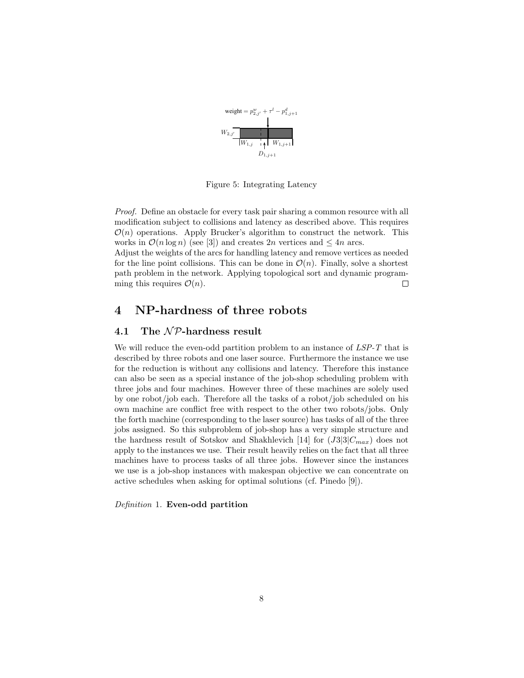

Figure 5: Integrating Latency

Proof. Define an obstacle for every task pair sharing a common resource with all modification subject to collisions and latency as described above. This requires  $\mathcal{O}(n)$  operations. Apply Brucker's algorithm to construct the network. This works in  $\mathcal{O}(n \log n)$  (see [3]) and creates 2n vertices and  $\leq 4n$  arcs.

Adjust the weights of the arcs for handling latency and remove vertices as needed for the line point collisions. This can be done in  $\mathcal{O}(n)$ . Finally, solve a shortest path problem in the network. Applying topological sort and dynamic programming this requires  $\mathcal{O}(n)$ .  $\Box$ 

### 4 NP-hardness of three robots

### 4.1 The  $N$ P-hardness result

We will reduce the even-odd partition problem to an instance of  $LSP-T$  that is described by three robots and one laser source. Furthermore the instance we use for the reduction is without any collisions and latency. Therefore this instance can also be seen as a special instance of the job-shop scheduling problem with three jobs and four machines. However three of these machines are solely used by one robot/job each. Therefore all the tasks of a robot/job scheduled on his own machine are conflict free with respect to the other two robots/jobs. Only the forth machine (corresponding to the laser source) has tasks of all of the three jobs assigned. So this subproblem of job-shop has a very simple structure and the hardness result of Sotskov and Shakhlevich [14] for  $(J3|3|C_{max})$  does not apply to the instances we use. Their result heavily relies on the fact that all three machines have to process tasks of all three jobs. However since the instances we use is a job-shop instances with makespan objective we can concentrate on active schedules when asking for optimal solutions (cf. Pinedo [9]).

Definition 1. Even-odd partition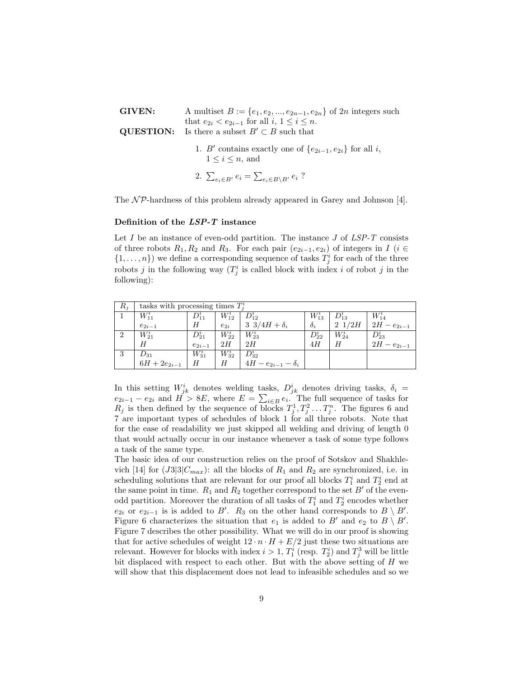| GIVEN: | A multiset $B := \{e_1, e_2, , e_{2n-1}, e_{2n}\}\$ of $2n$ integers such                                              |  |  |  |  |  |
|--------|------------------------------------------------------------------------------------------------------------------------|--|--|--|--|--|
|        | that $e_{2i} < e_{2i-1}$ for all $i, 1 \leq i \leq n$ .<br><b>QUESTION:</b> Is there a subset $B' \subset B$ such that |  |  |  |  |  |
|        | 1. B' contains exactly one of $\{e_{2i-1}, e_{2i}\}\$ for all i,<br>$1 \leq i \leq n$ , and                            |  |  |  |  |  |
|        | 2. $\sum_{e_i \in B'} e_i = \sum_{e_i \in B \backslash B'} e_i$ ?                                                      |  |  |  |  |  |

The  $\mathcal{NP}$ -hardness of this problem already appeared in Garey and Johnson [4].

#### Definition of the LSP-T instance

Let  $I$  be an instance of even-odd partition. The instance  $J$  of  $LSP-T$  consists of three robots  $R_1, R_2$  and  $R_3$ . For each pair  $(e_{2i-1}, e_{2i})$  of integers in  $I$  ( $i \in$  $\{1,\ldots,n\}$ ) we define a corresponding sequence of tasks  $T_j^i$  for each of the three robots j in the following way  $(T_j^i$  is called block with index i of robot j in the following):

| $R_i$          | tasks with processing times $T_i^i$ |                   |            |                            |            |                 |                   |  |
|----------------|-------------------------------------|-------------------|------------|----------------------------|------------|-----------------|-------------------|--|
|                | $W_{11}^i$                          | $D_{11}^{\imath}$ | $W_{12}^i$ | $D_{12}^i$                 | $W_{13}^i$ | $D_{13}^i$      | $W_{14}^i$        |  |
|                | $e_{2i-1}$                          | Н                 | $e_{2i}$   | 3 $3/4H + \delta_i$        | $\delta_i$ | $2 \frac{1}{2}$ | $2H - e_{2i-1}$   |  |
| $\overline{2}$ | $W^i_{21}$                          | $D^{\imath}_{21}$ | $W_{22}^i$ | $W_{23}^i$                 | $D_{22}^i$ | $W_{24}^i$      | $D^{\imath}_{23}$ |  |
|                | H                                   | $e_{2i-1}$        | 2H         | 2H                         | 4H         | Η               | $2H - e_{2i-1}$   |  |
| -3             | $D_{31}$                            | $W_{31}^i$        | $W^i_{32}$ | $D_{32}^i$                 |            |                 |                   |  |
|                | $6H + 2e_{2i-1}$                    | Η                 | Η          | $4H - e_{2i-1} - \delta_i$ |            |                 |                   |  |

In this setting  $W_{jk}^i$  denotes welding tasks,  $D_{jk}^i$  denotes driving tasks,  $\delta_i =$  $e_{2i-1} - e_{2i}$  and  $H > 8E$ , where  $E = \sum_{i \in B} e_i$ . The full sequence of tasks for  $R_j$  is then defined by the sequence of blocks  $T_j^1, T_j^2, \ldots, T_j^n$ . The figures 6 and 7 are important types of schedules of block 1 for all three robots. Note that for the ease of readability we just skipped all welding and driving of length 0 that would actually occur in our instance whenever a task of some type follows a task of the same type.

The basic idea of our construction relies on the proof of Sotskov and Shakhlevich [14] for  $(J3|3|C_{max})$ : all the blocks of  $R_1$  and  $R_2$  are synchronized, i.e. in scheduling solutions that are relevant for our proof all blocks  $T_1^i$  and  $T_2^i$  end at the same point in time.  $R_1$  and  $R_2$  together correspond to the set  $B'$  of the evenodd partition. Moreover the duration of all tasks of  $T_1^i$  and  $T_2^i$  encodes whether  $e_{2i}$  or  $e_{2i-1}$  is is added to B'.  $R_3$  on the other hand corresponds to  $B \setminus B'$ . Figure 6 characterizes the situation that  $e_1$  is added to B' and  $e_2$  to B \ B'. Figure 7 describes the other possibility. What we will do in our proof is showing that for active schedules of weight  $12\cdot n\cdot H + E/2$  just these two situations are relevant. However for blocks with index  $i > 1$ ,  $T_1^i$  (resp.  $T_2^i$ ) and  $T_3^3$  will be little bit displaced with respect to each other. But with the above setting of H we will show that this displacement does not lead to infeasible schedules and so we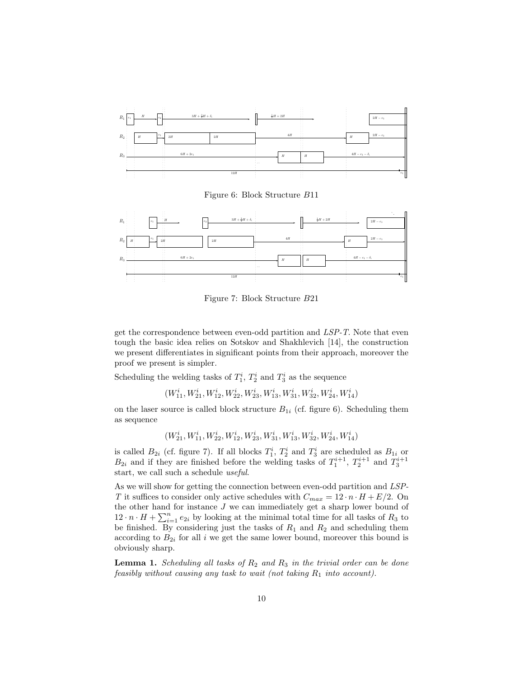

Figure 6: Block Structure B11



Figure 7: Block Structure B21

get the correspondence between even-odd partition and LSP-T. Note that even tough the basic idea relies on Sotskov and Shakhlevich [14], the construction we present differentiates in significant points from their approach, moreover the proof we present is simpler.

Scheduling the welding tasks of  $T_1^i$ ,  $T_2^i$  and  $T_3^i$  as the sequence

 $\left(W_{11}^i,W_{21}^i,W_{12}^i,W_{22}^i,W_{23}^i,W_{13}^i,W_{31}^i,W_{32}^i,W_{24}^i,W_{14}^i\right)$ 

on the laser source is called block structure  $B_{1i}$  (cf. figure 6). Scheduling them as sequence

 $\left(W_{21}^i,W_{11}^i,W_{22}^i,W_{12}^i,W_{23}^i,W_{31}^i,W_{13}^i,W_{32}^i,W_{24}^i,W_{14}^i\right)$ 

is called  $B_{2i}$  (cf. figure 7). If all blocks  $T_1^i$ ,  $T_2^i$  and  $T_3^i$  are scheduled as  $B_{1i}$  or  $B_{2i}$  and if they are finished before the welding tasks of  $T_1^{i+1}$ ,  $T_2^{i+1}$  and  $T_3^{i+1}$ start, we call such a schedule useful.

As we will show for getting the connection between even-odd partition and LSP-T it suffices to consider only active schedules with  $C_{max} = 12 \cdot n \cdot H + E/2$ . On the other hand for instance  $J$  we can immediately get a sharp lower bound of  $12 \cdot n \cdot H + \sum_{i=1}^{n} e_{2i}$  by looking at the minimal total time for all tasks of  $R_3$  to be finished. By considering just the tasks of  $R_1$  and  $R_2$  and scheduling them according to  $B_{2i}$  for all i we get the same lower bound, moreover this bound is obviously sharp.

**Lemma 1.** Scheduling all tasks of  $R_2$  and  $R_3$  in the trivial order can be done feasibly without causing any task to wait (not taking  $R_1$  into account).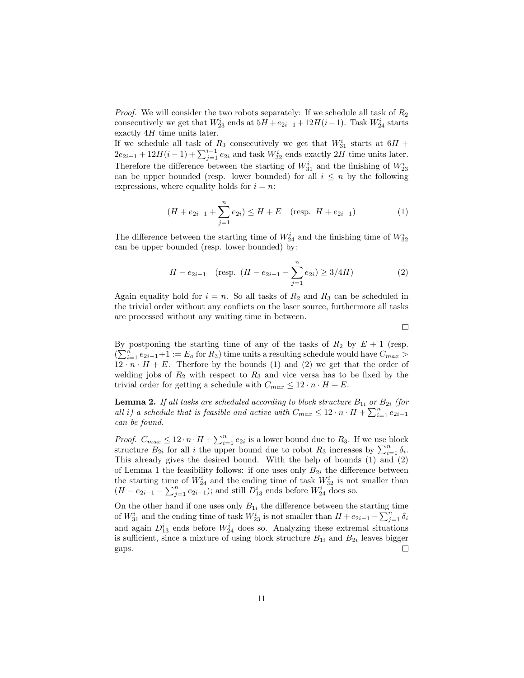*Proof.* We will consider the two robots separately: If we schedule all task of  $R_2$ consecutively we get that  $W_{23}^i$  ends at  $5H + e_{2i-1} + 12H(i-1)$ . Task  $W_{24}^i$  starts exactly  $4H$  time units later.

If we schedule all task of  $R_3$  consecutively we get that  $W_{31}^i$  starts at  $6H +$  $2e_{2i-1} + 12H(i-1) + \sum_{j=1}^{i-1} e_{2i}$  and task  $W_{32}^i$  ends exactly  $2H$  time units later. Therefore the difference between the starting of  $W_{31}^i$  and the finishing of  $W_{23}^i$ can be upper bounded (resp. lower bounded) for all  $i \leq n$  by the following expressions, where equality holds for  $i = n$ :

$$
(H + e_{2i-1} + \sum_{j=1}^{n} e_{2i}) \le H + E \quad \text{(resp. } H + e_{2i-1}) \tag{1}
$$

The difference between the starting time of  $W_{24}^i$  and the finishing time of  $W_{32}^i$ can be upper bounded (resp. lower bounded) by:

$$
H - e_{2i-1} \quad \text{(resp. } (H - e_{2i-1} - \sum_{j=1}^{n} e_{2i}) \ge 3/4H\text{)} \tag{2}
$$

Again equality hold for  $i = n$ . So all tasks of  $R_2$  and  $R_3$  can be scheduled in the trivial order without any conflicts on the laser source, furthermore all tasks are processed without any waiting time in between.

 $\Box$ 

By postponing the starting time of any of the tasks of  $R_2$  by  $E + 1$  (resp.  $(\sum_{i=1}^{n} e_{2i-1}+1) := E_0$  for  $R_3$ ) time units a resulting schedule would have  $C_{max} >$  $12 \cdot n \cdot H + E$ . Therfore by the bounds (1) and (2) we get that the order of welding jobs of  $R_2$  with respect to  $R_3$  and vice versa has to be fixed by the trivial order for getting a schedule with  $C_{max} \leq 12 \cdot n \cdot H + E$ .

**Lemma 2.** If all tasks are scheduled according to block structure  $B_{1i}$  or  $B_{2i}$  (for all i) a schedule that is feasible and active with  $C_{max} \leq 12 \cdot n \cdot H + \sum_{i=1}^{n} e_{2i-1}$ can be found.

*Proof.*  $C_{max} \leq 12 \cdot n \cdot H + \sum_{i=1}^{n} e_{2i}$  is a lower bound due to  $R_3$ . If we use block structure  $B_{2i}$  for all i the upper bound due to robot  $R_3$  increases by  $\sum_{i=1}^n \delta_i$ . This already gives the desired bound. With the help of bounds (1) and (2) of Lemma 1 the feasibility follows: if one uses only  $B_{2i}$  the difference between the starting time of  $W_{24}^i$  and the ending time of task  $W_{32}^i$  is not smaller than  $(H - e_{2i-1} - \sum_{j=1}^{n} e_{2i-1});$  and still  $D_{13}^{i}$  ends before  $W_{24}^{i}$  does so.

On the other hand if one uses only  $B_{1i}$  the difference between the starting time of  $W_{31}^i$  and the ending time of task  $W_{23}^i$  is not smaller than  $H + e_{2i-1} - \sum_{j=1}^n \delta_i$ and again  $D_{13}^i$  ends before  $W_{24}^i$  does so. Analyzing these extremal situations is sufficient, since a mixture of using block structure  $B_{1i}$  and  $B_{2i}$  leaves bigger gaps.  $\Box$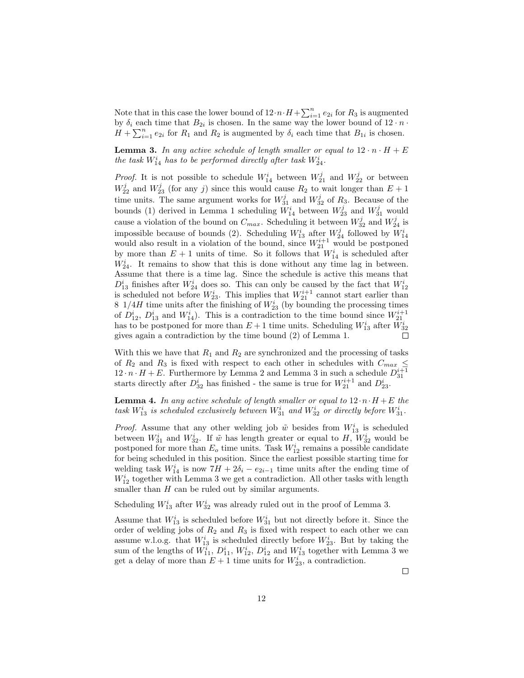Note that in this case the lower bound of  $12 \cdot n \cdot H + \sum_{i=1}^{n} e_{2i}$  for  $R_3$  is augmented by  $\delta_i$  each time that  $B_{2i}$  is chosen. In the same way the lower bound of  $12 \cdot n \cdot$  $H + \sum_{i=1}^{n} e_{2i}$  for  $R_1$  and  $R_2$  is augmented by  $\delta_i$  each time that  $B_{1i}$  is chosen.

**Lemma 3.** In any active schedule of length smaller or equal to  $12 \cdot n \cdot H + E$ the task  $W_{14}^i$  has to be performed directly after task  $W_{24}^i$ .

*Proof.* It is not possible to schedule  $W_{14}^i$  between  $W_{21}^j$  and  $W_{22}^j$  or between  $W_{22}^j$  and  $W_{23}^j$  (for any j) since this would cause  $R_2$  to wait longer than  $E + 1$ time units. The same argument works for  $W_{31}^j$  and  $W_{32}^j$  of  $R_3$ . Because of the bounds (1) derived in Lemma 1 scheduling  $W_{14}^i$  between  $W_{23}^j$  and  $W_{31}^j$  would cause a violation of the bound on  $C_{max}$ . Scheduling it between  $W_{32}^j$  and  $W_{24}^j$  is impossible because of bounds (2). Scheduling  $W_{13}^i$  after  $W_{24}^j$  followed by  $W_{14}^i$ would also result in a violation of the bound, since  $W_{21}^{i+1}$  would be postponed by more than  $E + 1$  units of time. So it follows that  $W_{14}^i$  is scheduled after  $W_{24}^i$ . It remains to show that this is done without any time lag in between. Assume that there is a time lag. Since the schedule is active this means that  $D_{13}^i$  finishes after  $W_{24}^i$  does so. This can only be caused by the fact that  $W_{12}^i$ is scheduled not before  $W_{23}^i$ . This implies that  $W_{21}^{i+1}$  cannot start earlier than 8  $1/4H$  time units after the finishing of  $W_{23}^i$  (by bounding the processing times of  $D_{12}^i$ ,  $D_{13}^i$  and  $W_{14}^i$ ). This is a contradiction to the time bound since  $W_{21}^{i+1}$ has to be postponed for more than  $E+1$  time units. Scheduling  $W_{13}^i$  after  $W_{32}^i$ gives again a contradiction by the time bound (2) of Lemma 1.

With this we have that  $R_1$  and  $R_2$  are synchronized and the processing of tasks of  $R_2$  and  $R_3$  is fixed with respect to each other in schedules with  $C_{max} \leq$  $12 \cdot n \cdot H + E$ . Furthermore by Lemma 2 and Lemma 3 in such a schedule  $D_{31}^{i+1}$ starts directly after  $D_{32}^i$  has finished - the same is true for  $W_{21}^{i+1}$  and  $D_{23}^i$ .

**Lemma 4.** In any active schedule of length smaller or equal to  $12 \cdot n \cdot H + E$  the task  $W_{13}^i$  is scheduled exclusively between  $W_{31}^i$  and  $W_{32}^i$  or directly before  $W_{31}^i$ .

*Proof.* Assume that any other welding job  $\tilde{w}$  besides from  $W_{13}^i$  is scheduled between  $W_{31}^i$  and  $W_{32}^i$ . If  $\tilde{w}$  has length greater or equal to H,  $W_{32}^i$  would be postponed for more than  $E_o$  time units. Task  $W_{12}^i$  remains a possible candidate for being scheduled in this position. Since the earliest possible starting time for welding task  $W_{14}^i$  is now  $7H + 2\delta_i - e_{2i-1}$  time units after the ending time of  $W_{12}^i$  together with Lemma 3 we get a contradiction. All other tasks with length smaller than  $H$  can be ruled out by similar arguments.

Scheduling  $W_{13}^i$  after  $W_{32}^i$  was already ruled out in the proof of Lemma 3.

Assume that  $W_{13}^i$  is scheduled before  $W_{31}^i$  but not directly before it. Since the order of welding jobs of  $R_2$  and  $R_3$  is fixed with respect to each other we can assume w.l.o.g. that  $W_{13}^i$  is scheduled directly before  $W_{23}^i$ . But by taking the sum of the lengths of  $W_{11}^i$ ,  $D_{11}^i$ ,  $W_{12}^i$ ,  $D_{12}^i$  and  $W_{13}^i$  together with Lemma 3 we get a delay of more than  $E + 1$  time units for  $W_{23}^i$ , a contradiction.

 $\Box$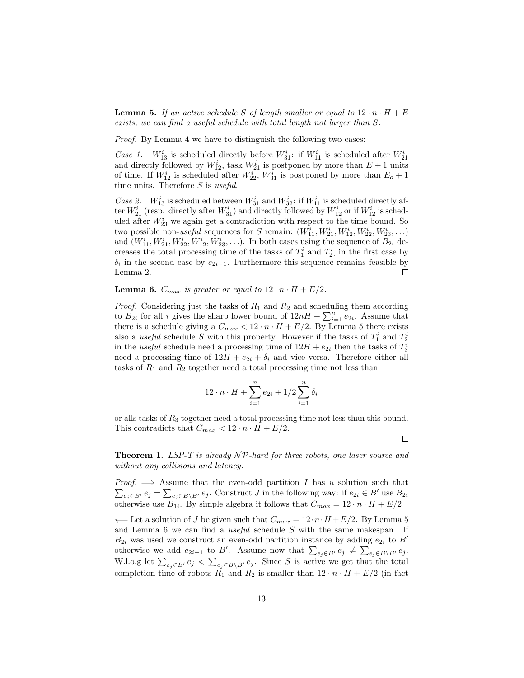**Lemma 5.** If an active schedule S of length smaller or equal to  $12 \cdot n \cdot H + E$ exists, we can find a useful schedule with total length not larger than S.

Proof. By Lemma 4 we have to distinguish the following two cases:

 $Case 1.$  $S_{13}^i$  is scheduled directly before  $W_{31}^i$ : if  $W_{11}^i$  is scheduled after  $W_{21}^i$ and directly followed by  $W_{12}^i$ , task  $W_{21}^i$  is postponed by more than  $E + 1$  units of time. If  $W_{12}^i$  is scheduled after  $W_{22}^i$ ,  $W_{31}^i$  is postponed by more than  $E_o + 1$ time units. Therefore  $S$  is useful.

Case 2.  $W_{13}^i$  is scheduled between  $W_{31}^i$  and  $W_{32}^i$ : if  $W_{11}^i$  is scheduled directly after  $W_{21}^i$  (resp. directly after  $W_{31}^i$ ) and directly followed by  $W_{12}^i$  or if  $W_{12}^i$  is scheduled after  $W_{23}^i$  we again get a contradiction with respect to the time bound. So two possible non-useful sequences for S remain:  $(W_{11}^i, W_{21}^i, W_{12}^i, W_{22}^i, W_{23}^i, \ldots)$ and  $(W_{11}^i, W_{21}^i, W_{22}^i, W_{12}^i, W_{23}^i, \ldots)$ . In both cases using the sequence of  $B_{2i}$  decreases the total processing time of the tasks of  $T_1^i$  and  $T_2^i$ , in the first case by  $\delta_i$  in the second case by  $e_{2i-1}$ . Furthermore this sequence remains feasible by Lemma 2.  $\Box$ 

**Lemma 6.**  $C_{max}$  is greater or equal to  $12 \cdot n \cdot H + E/2$ .

*Proof.* Considering just the tasks of  $R_1$  and  $R_2$  and scheduling them according to  $B_{2i}$  for all *i* gives the sharp lower bound of  $12nH + \sum_{i=1}^{n} e_{2i}$ . Assume that there is a schedule giving a  $C_{max} < 12 \cdot n \cdot H + E/2$ . By Lemma 5 there exists also a *useful* schedule S with this property. However if the tasks of  $T_1^i$  and  $T_2^i$ in the useful schedule need a processing time of  $12H + e_{2i}$  then the tasks of  $T_3^i$ need a processing time of  $12H + e_{2i} + \delta_i$  and vice versa. Therefore either all tasks of  $R_1$  and  $R_2$  together need a total processing time not less than

$$
12 \cdot n \cdot H + \sum_{i=1}^{n} e_{2i} + 1/2 \sum_{i=1}^{n} \delta_i
$$

or alls tasks of  $R_3$  together need a total processing time not less than this bound. This contradicts that  $C_{max} < 12 \cdot n \cdot H + E/2$ .

 $\Box$ 

**Theorem 1.** LSP-T is already  $\mathcal{NP}$ -hard for three robots, one laser source and without any collisions and latency.

*Proof.*  $\implies$  Assume that the even-odd partition I has a solution such that *Proof.*  $\implies$  Assume that the even-odd partition *I* has a solution such that  $\sum_{e_j \in B'} e_j = \sum_{e_j \in B \setminus B'} e_j$ . Construct *J* in the following way: if  $e_{2i} \in B'$  use  $B_{2i}$ otherwise use  $B_{1i}$ . By simple algebra it follows that  $C_{max} = 12 \cdot n \cdot H + E/2$ 

 $\Leftarrow$  Let a solution of J be given such that  $C_{max} = 12 \cdot n \cdot H + E/2$ . By Lemma 5 and Lemma 6 we can find a *useful* schedule  $S$  with the same makespan. If  $B_{2i}$  was used we construct an even-odd partition instance by adding  $e_{2i}$  to B' otherwise we add  $e_{2i-1}$  to B'. Assume now that  $\sum_{e_j \in B'} e_j \neq \sum_{e_j \in B \setminus B'} e_j$ . W.l.o.g let  $\sum_{e_j \in B'} e_j < \sum_{e_j \in B \setminus B'} e_j$ . Since S is active we get that the total completion time of robots  $R_1$  and  $R_2$  is smaller than  $12 \cdot n \cdot H + E/2$  (in fact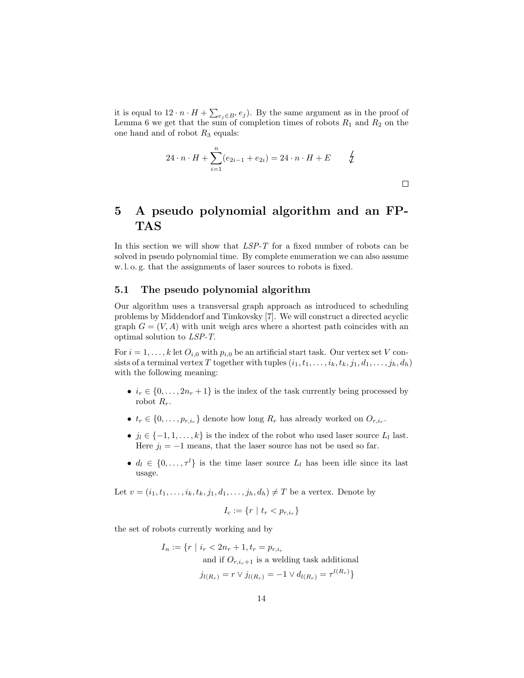it is equal to  $12 \cdot n \cdot H + \sum_{e_j \in B'} e_j$ . By the same argument as in the proof of Lemma 6 we get that the sum of completion times of robots  $R_1$  and  $R_2$  on the one hand and of robot  $R_3$  equals:

$$
24 \cdot n \cdot H + \sum_{i=1}^{n} (e_{2i-1} + e_{2i}) = 24 \cdot n \cdot H + E \qquad \frac{1}{2}
$$

 $\Box$ 

## 5 A pseudo polynomial algorithm and an FP-TAS

In this section we will show that  $LSP-T$  for a fixed number of robots can be solved in pseudo polynomial time. By complete enumeration we can also assume w. l. o. g. that the assignments of laser sources to robots is fixed.

#### 5.1 The pseudo polynomial algorithm

Our algorithm uses a transversal graph approach as introduced to scheduling problems by Middendorf and Timkovsky [7]. We will construct a directed acyclic graph  $G = (V, A)$  with unit weigh arcs where a shortest path coincides with an optimal solution to LSP-T.

For  $i = 1, ..., k$  let  $O_{i,0}$  with  $p_{i,0}$  be an artificial start task. Our vertex set V consists of a terminal vertex T together with tuples  $(i_1, t_1, \ldots, i_k, t_k, j_1, d_1, \ldots, j_h, d_h)$ with the following meaning:

- $i_r \in \{0, \ldots, 2n_r + 1\}$  is the index of the task currently being processed by robot  $R_r$ .
- $t_r \in \{0, \ldots, p_{r,i_r}\}\$ denote how long  $R_r$  has already worked on  $O_{r,i_r}$ .
- $j_l \in \{-1, 1, \ldots, k\}$  is the index of the robot who used laser source  $L_l$  last. Here  $j_l = -1$  means, that the laser source has not be used so far.
- $d_l \in \{0, \ldots, \tau^l\}$  is the time laser source  $L_l$  has been idle since its last usage.

Let  $v = (i_1, t_1, \ldots, i_k, t_k, j_1, d_1, \ldots, j_h, d_h) \neq T$  be a vertex. Denote by

$$
I_c := \{r \mid t_r < p_{r,i_r}\}
$$

the set of robots currently working and by

$$
I_n := \{ r \mid i_r < 2n_r + 1, t_r = p_{r,i_r}
$$
\nand if  $O_{r,i_r+1}$  is a welling task additional\n
$$
j_{l(R_r)} = r \vee j_{l(R_r)} = -1 \vee d_{l(R_r)} = \tau^{l(R_r)}
$$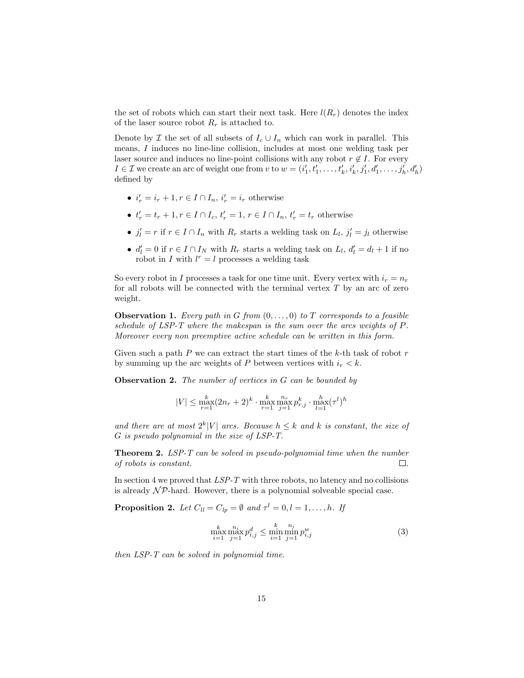the set of robots which can start their next task. Here  $l(R_r)$  denotes the index of the laser source robot  $R_r$  is attached to.

Denote by  $\mathcal I$  the set of all subsets of  $I_c \cup I_n$  which can work in parallel. This means, I induces no line-line collision, includes at most one welding task per laser source and induces no line-point collisions with any robot  $r \notin I$ . For every  $I \in \mathcal{I}$  we create an arc of weight one from  $v$  to  $w = (i'_1, t'_1, \ldots, t'_k, i'_k, j'_1, d'_1, \ldots, j'_h, d'_h)$ defined by

- $i'_r = i_r + 1, r \in I \cap I_n$ ,  $i'_r = i_r$  otherwise
- $t'_{r} = t_{r} + 1, r \in I \cap I_{c}, t'_{r} = 1, r \in I \cap I_{n}, t'_{r} = t_{r}$  otherwise
- $j'_l = r$  if  $r \in I \cap I_n$  with  $R_r$  starts a welding task on  $L_l$ ,  $j'_l = j_l$  otherwise
- $d'_l = 0$  if  $r \in I \cap I_N$  with  $R_r$  starts a welding task on  $L_l$ ,  $d'_l = d_l + 1$  if no robot in I with  $l^r = l$  processes a welding task

So every robot in I processes a task for one time unit. Every vertex with  $i_r = n_r$ for all robots will be connected with the terminal vertex  $T$  by an arc of zero weight.

**Observation 1.** Every path in G from  $(0, \ldots, 0)$  to T corresponds to a feasible schedule of LSP-T where the makespan is the sum over the arcs weights of P. Moreover every non preemptive active schedule can be written in this form.

Given such a path  $P$  we can extract the start times of the  $k$ -th task of robot  $r$ by summing up the arc weights of P between vertices with  $i_r < k$ .

**Observation 2.** The number of vertices in  $G$  can be bounded by

$$
|V| \leq \max_{r=1}^k (2n_r+2)^k \cdot \max_{r=1}^k \max_{j=1}^{n_r} p_{r,j}^k \cdot \max_{l=1}^h (\tau^l)^h
$$

and there are at most  $2^k|V|$  arcs. Because  $h \leq k$  and k is constant, the size of G is pseudo polynomial in the size of LSP-T.

Theorem 2. LSP-T can be solved in pseudo-polynomial time when the number of robots is constant.  $\Box$ 

In section 4 we proved that  $LSP-T$  with three robots, no latency and no collisions is already  $\mathcal{NP}$ -hard. However, there is a polynomial solveable special case.

**Proposition 2.** Let  $C_{ll} = C_{lp} = \emptyset$  and  $\tau^l = 0, l = 1, \ldots, h$ . If

$$
\max_{i=1}^{k} \max_{j=1}^{n_i} p_{i,j}^d \le \min_{i=1}^{k} \min_{j=1}^{n_i} p_{i,j}^w
$$
\n(3)

then LSP-T can be solved in polynomial time.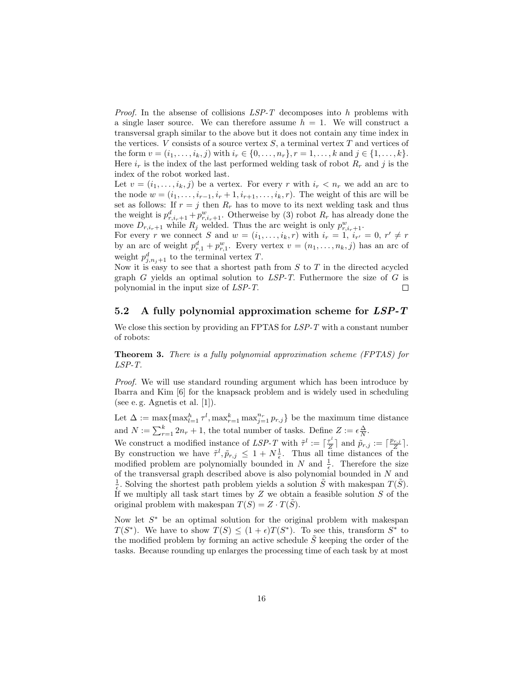*Proof.* In the absense of collisions  $LSP-T$  decomposes into h problems with a single laser source. We can therefore assume  $h = 1$ . We will construct a transversal graph similar to the above but it does not contain any time index in the vertices. V consists of a source vertex  $S$ , a terminal vertex  $T$  and vertices of the form  $v = (i_1, \ldots, i_k, j)$  with  $i_r \in \{0, \ldots, n_r\}, r = 1, \ldots, k$  and  $j \in \{1, \ldots, k\}.$ Here  $i_r$  is the index of the last performed welding task of robot  $R_r$  and j is the index of the robot worked last.

Let  $v = (i_1, \ldots, i_k, j)$  be a vertex. For every r with  $i_r < n_r$  we add an arc to the node  $w = (i_1, \ldots, i_{r-1}, i_r + 1, i_{r+1}, \ldots, i_k, r)$ . The weight of this arc will be set as follows: If  $r = j$  then  $R_r$  has to move to its next welding task and thus the weight is  $p_{r,i_r+1}^d + p_{r,i_r+1}^w$ . Otherweise by (3) robot  $R_r$  has already done the move  $D_{r,i_r+1}$  while  $R_j$  welded. Thus the arc weight is only  $p_{r,i_r+1}^w$ .

For every r we connect S and  $w = (i_1, \ldots, i_k, r)$  with  $i_r = 1$ ,  $i_{r'} = 0$ ,  $r' \neq r$ by an arc of weight  $p_{r,1}^d + p_{r,1}^w$ . Every vertex  $v = (n_1, \ldots, n_k, j)$  has an arc of weight  $p_{j,n_j+1}^d$  to the terminal vertex T.

Now it is easy to see that a shortest path from  $S$  to  $T$  in the directed acycled graph  $G$  yields an optimal solution to  $LSP-T$ . Futhermore the size of  $G$  is polynomial in the input size of LSP-T.  $\Box$ 

### 5.2 A fully polynomial approximation scheme for  $LSP-T$

We close this section by providing an FPTAS for  $LSP-T$  with a constant number of robots:

Theorem 3. There is a fully polynomial approximation scheme (FPTAS) for LSP-T.

Proof. We will use standard rounding argument which has been introduce by Ibarra and Kim [6] for the knapsack problem and is widely used in scheduling (see e. g. Agnetis et al. [1]).

Let  $\Delta := \max\{\max_{l=1}^h \tau^l, \max_{r=1}^k \max_{j=1}^{n_r} p_{r,j}\}\$  be the maximum time distance and  $N := \sum_{r=1}^{k} 2n_r + 1$ , the total number of tasks. Define  $Z := \epsilon \frac{\Delta}{N}$ .

We construct a modified instance of  $LSP-T$  with  $\tilde{\tau}^l := \lceil \frac{\tau^l}{Z} \rceil$  $\lceil \frac{r^l}{Z} \rceil$  and  $\tilde{p}_{r,j} := \lceil \frac{p_{r,j}}{Z} \rceil$  $\frac{r,j}{Z}$ . By construction we have  $\tilde{\tau}^l, \tilde{p}_{r,j} \leq 1 + N_{\epsilon}^1$ . Thus all time distances of the modified problem are polynomially bounded in N and  $\frac{1}{\epsilon}$ . Therefore the size of the transversal graph described above is also polynomial bounded in N and  $\frac{1}{\epsilon}$ . Solving the shortest path problem yields a solution  $\tilde{S}$  with makespan  $T(\tilde{S})$ . If we multiply all task start times by  $Z$  we obtain a feasible solution  $S$  of the original problem with makespan  $T(S) = Z \cdot T(\tilde{S})$ .

Now let  $S^*$  be an optimal solution for the original problem with makespan  $T(S^*)$ . We have to show  $T(S) \leq (1+\epsilon)T(S^*)$ . To see this, transform  $S^*$  to the modified problem by forming an active schedule  $\hat{S}$  keeping the order of the tasks. Because rounding up enlarges the processing time of each task by at most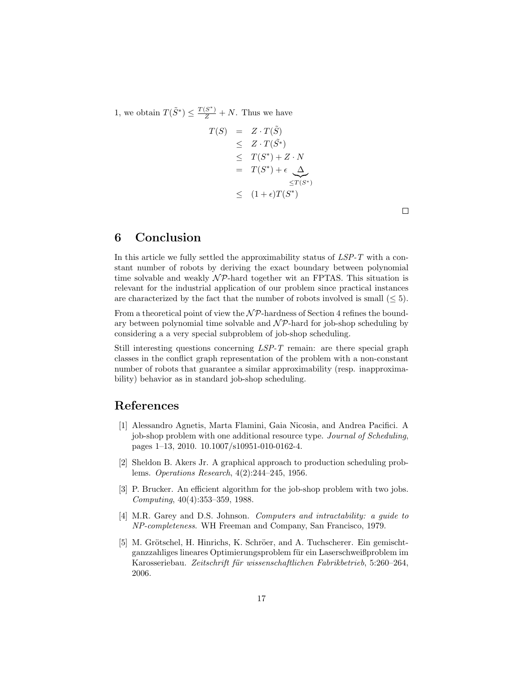1, we obtain  $T(\tilde{S}^*) \leq \frac{T(S^*)}{Z} + N$ . Thus we have

$$
T(S) = Z \cdot T(\tilde{S})
$$
  
\n
$$
\leq Z \cdot T(\tilde{S}^*)
$$
  
\n
$$
\leq T(S^*) + Z \cdot N
$$
  
\n
$$
= T(S^*) + \epsilon \underbrace{\Delta}_{\leq T(S^*)}
$$
  
\n
$$
\leq (1 + \epsilon)T(S^*)
$$

 $\Box$ 

### 6 Conclusion

In this article we fully settled the approximability status of LSP-T with a constant number of robots by deriving the exact boundary between polynomial time solvable and weakly  $\mathcal{NP}$ -hard together wit an FPTAS. This situation is relevant for the industrial application of our problem since practical instances are characterized by the fact that the number of robots involved is small  $(< 5)$ .

From a theoretical point of view the  $\mathcal{NP}$ -hardness of Section 4 refines the boundary between polynomial time solvable and  $\mathcal{NP}$ -hard for job-shop scheduling by considering a a very special subproblem of job-shop scheduling.

Still interesting questions concerning LSP-T remain: are there special graph classes in the conflict graph representation of the problem with a non-constant number of robots that guarantee a similar approximability (resp. inapproximability) behavior as in standard job-shop scheduling.

### References

- [1] Alessandro Agnetis, Marta Flamini, Gaia Nicosia, and Andrea Pacifici. A job-shop problem with one additional resource type. Journal of Scheduling, pages 1–13, 2010. 10.1007/s10951-010-0162-4.
- [2] Sheldon B. Akers Jr. A graphical approach to production scheduling problems. Operations Research, 4(2):244–245, 1956.
- [3] P. Brucker. An efficient algorithm for the job-shop problem with two jobs. Computing, 40(4):353–359, 1988.
- [4] M.R. Garey and D.S. Johnson. Computers and intractability: a guide to NP-completeness. WH Freeman and Company, San Francisco, 1979.
- [5] M. Grötschel, H. Hinrichs, K. Schröer, and A. Tuchscherer. Ein gemischtganzzahliges lineares Optimierungsproblem für ein Laserschweißproblem im Karosseriebau. Zeitschrift für wissenschaftlichen Fabrikbetrieb, 5:260–264, 2006.